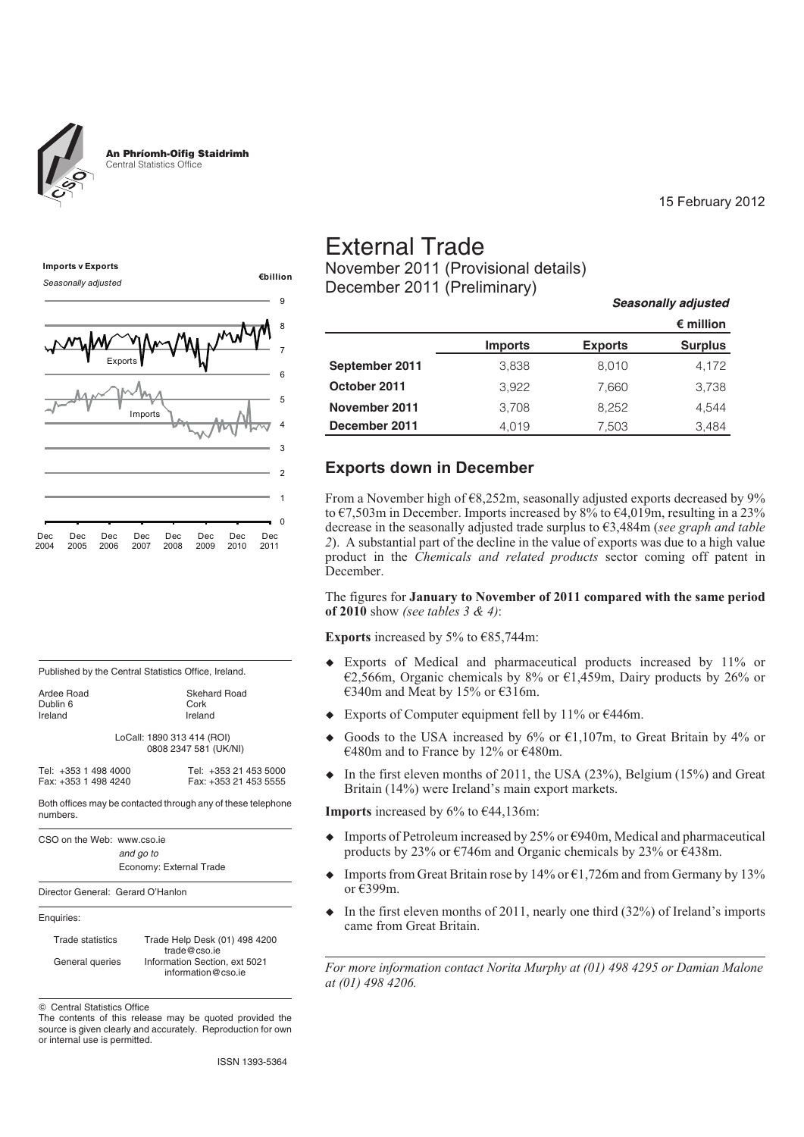



| Published by the Central Statistics Office, Ireland. |  |
|------------------------------------------------------|--|
|                                                      |  |

| Ardee Road | <b>Skehard Road</b>        |  |
|------------|----------------------------|--|
| Dublin 6   | Cork                       |  |
| Ireland    | Ireland                    |  |
|            | LoCall: 1890 313 414 (ROI) |  |
|            | 0808 2347 581 (UK/NI)      |  |
|            |                            |  |

| Tel: +353 1 498 4000 |  |  | Tel: +353 21 453 5000 |  |  |  |
|----------------------|--|--|-----------------------|--|--|--|
| Fax: +353 1 498 4240 |  |  | Fax: +353 21 453 5555 |  |  |  |

Both offices may be contacted through any of these telephone numbers.

| CSO on the Web: www.cso.ie |                         |
|----------------------------|-------------------------|
|                            | and go to               |
|                            | Economy: External Trade |

Director General: Gerard O'Hanlon

#### Enquiries:

| <b>Trade statistics</b> | Trade Help Desk (01) 498 4200 |
|-------------------------|-------------------------------|
|                         | trade@cso.ie                  |
| General queries         | Information Section, ext 5021 |
|                         | information@cso.ie            |

 $©$  Central Statistics Office

The contents of this release may be quoted provided the source is given clearly and accurately. Reproduction for own or internal use is permitted.

# External Trade

November 2011 (Provisional details) December 2011 (Preliminary)

|                |                |                | $\epsilon$ million |
|----------------|----------------|----------------|--------------------|
|                | <b>Imports</b> | <b>Exports</b> | <b>Surplus</b>     |
| September 2011 | 3,838          | 8,010          | 4,172              |
| October 2011   | 3.922          | 7,660          | 3,738              |
| November 2011  | 3.708          | 8.252          | 4.544              |
| December 2011  | 4.019          | 7,503          | 3,484              |

15 February 2012

Seasonally adjusted

## **Exports down in December**

From a November high of €8,252m, seasonally adjusted exports decreased by 9% to  $\epsilon$ 7,503m in December. Imports increased by 8% to  $\epsilon$ 4,019m, resulting in a 23% decrease in the seasonally adjusted trade surplus to €3,484m (*see graph and table 2*). A substantial part of the decline in the value of exports was due to a high value product in the *Chemicals and related products* sector coming off patent in December.

The figures for **January to November of 2011 compared with the same period of 2010** show *(see tables 3 & 4)*:

**Exports** increased by 5% to  $\epsilon$ 85,744m:

- $\ddot{\bullet}$  Exports of Medical and pharmaceutical products increased by 11% or €2,566m, Organic chemicals by 8% or €1,459m, Dairy products by 26% or €340m and Meat by 15% or €316m.
- $\bullet$ Exports of Computer equipment fell by 11% or  $E446m$ .
- $\ddot{\bullet}$ Goods to the USA increased by 6% or  $\epsilon$ 1,107m, to Great Britain by 4% or €480m and to France by 12% or €480m.
- $\bullet$  In the first eleven months of 2011, the USA (23%), Belgium (15%) and Great Britain (14%) were Ireland's main export markets.

**Imports** increased by  $6\%$  to  $644,136$ m:

- $\bullet$ Imports of Petroleum increased by  $25\%$  or  $\epsilon$ 940m, Medical and pharmaceutical products by 23% or  $\epsilon$ 746m and Organic chemicals by 23% or  $\epsilon$ 438m.
- $\bullet$ Imports from Great Britain rose by 14% or  $\epsilon$ 1,726m and from Germany by 13% or €399m.
- $\bullet$  In the first eleven months of 2011, nearly one third (32%) of Ireland's imports came from Great Britain.

*For more information contact Norita Murphy at (01) 498 4295 or Damian Malone at (01) 498 4206.*

ISSN 1393-5364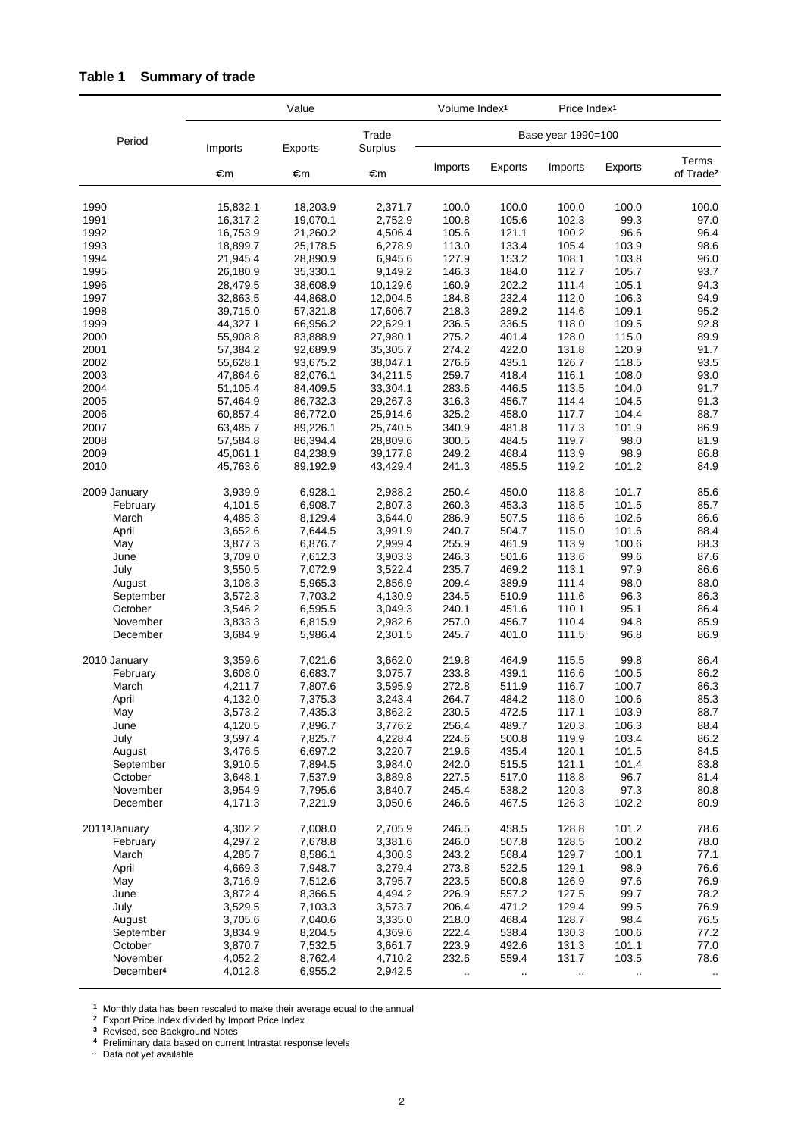|                           |                      | Value                |                      | Volume Index <sup>1</sup> |                | Price Index <sup>1</sup> |                |                                |
|---------------------------|----------------------|----------------------|----------------------|---------------------------|----------------|--------------------------|----------------|--------------------------------|
| Period                    | Imports              | Exports              | Trade<br>Surplus     |                           |                | Base year 1990=100       |                |                                |
|                           | €m                   | €m                   | €m                   | Imports                   | Exports        | Imports                  | Exports        | Terms<br>of Trade <sup>2</sup> |
| 1990                      | 15,832.1             | 18,203.9             | 2,371.7              | 100.0                     | 100.0          | 100.0                    | 100.0          | 100.0                          |
| 1991                      | 16,317.2             | 19,070.1             | 2,752.9              | 100.8                     | 105.6          | 102.3                    | 99.3           | 97.0                           |
| 1992                      | 16,753.9             | 21,260.2             | 4,506.4              | 105.6                     | 121.1          | 100.2                    | 96.6           | 96.4                           |
| 1993                      | 18,899.7             | 25,178.5             | 6,278.9              | 113.0                     | 133.4          | 105.4                    | 103.9          | 98.6                           |
| 1994                      | 21,945.4             | 28,890.9             | 6,945.6              | 127.9                     | 153.2          | 108.1                    | 103.8          | 96.0                           |
| 1995                      | 26,180.9             | 35,330.1             | 9,149.2              | 146.3                     | 184.0          | 112.7                    | 105.7          | 93.7                           |
| 1996                      | 28,479.5             | 38,608.9             | 10,129.6             | 160.9                     | 202.2          | 111.4                    | 105.1          | 94.3                           |
| 1997                      | 32,863.5             | 44,868.0             | 12,004.5             | 184.8                     | 232.4          | 112.0                    | 106.3          | 94.9                           |
| 1998                      | 39,715.0             | 57,321.8             | 17,606.7             | 218.3                     | 289.2          | 114.6                    | 109.1          | 95.2                           |
| 1999                      | 44,327.1             | 66,956.2             | 22,629.1             | 236.5                     | 336.5          | 118.0                    | 109.5          | 92.8                           |
| 2000                      | 55,908.8             | 83,888.9             | 27,980.1             | 275.2                     | 401.4          | 128.0                    | 115.0          | 89.9                           |
| 2001                      | 57,384.2             | 92,689.9             | 35,305.7             | 274.2                     | 422.0          | 131.8                    | 120.9          | 91.7                           |
| 2002                      | 55,628.1             | 93,675.2             | 38,047.1             | 276.6                     | 435.1          | 126.7                    | 118.5          | 93.5                           |
| 2003                      | 47,864.6             | 82,076.1             | 34,211.5             | 259.7                     | 418.4          | 116.1                    | 108.0          | 93.0                           |
| 2004                      | 51,105.4             | 84,409.5             | 33,304.1             | 283.6                     | 446.5          | 113.5                    | 104.0          | 91.7                           |
| 2005                      | 57,464.9             | 86,732.3             | 29,267.3             | 316.3<br>325.2            | 456.7          | 114.4                    | 104.5<br>104.4 | 91.3                           |
| 2006<br>2007              | 60,857.4<br>63,485.7 | 86,772.0<br>89,226.1 | 25,914.6<br>25,740.5 | 340.9                     | 458.0<br>481.8 | 117.7<br>117.3           | 101.9          | 88.7<br>86.9                   |
| 2008                      | 57,584.8             | 86,394.4             | 28,809.6             | 300.5                     | 484.5          | 119.7                    | 98.0           | 81.9                           |
| 2009                      | 45,061.1             | 84,238.9             | 39,177.8             | 249.2                     | 468.4          | 113.9                    | 98.9           | 86.8                           |
| 2010                      | 45,763.6             | 89,192.9             | 43,429.4             | 241.3                     | 485.5          | 119.2                    | 101.2          | 84.9                           |
| 2009 January              | 3,939.9              | 6,928.1              | 2,988.2              | 250.4                     | 450.0          | 118.8                    | 101.7          | 85.6                           |
| February                  | 4,101.5              | 6,908.7              | 2,807.3              | 260.3                     | 453.3          | 118.5                    | 101.5          | 85.7                           |
| March                     | 4,485.3              | 8,129.4              | 3,644.0              | 286.9                     | 507.5          | 118.6                    | 102.6          | 86.6                           |
| April                     | 3,652.6              | 7,644.5              | 3,991.9              | 240.7                     | 504.7          | 115.0                    | 101.6          | 88.4                           |
| May                       | 3,877.3              | 6,876.7              | 2,999.4              | 255.9                     | 461.9          | 113.9                    | 100.6          | 88.3                           |
| June                      | 3,709.0              | 7,612.3              | 3,903.3              | 246.3                     | 501.6          | 113.6                    | 99.6           | 87.6                           |
| July                      | 3,550.5              | 7,072.9              | 3,522.4              | 235.7                     | 469.2          | 113.1                    | 97.9           | 86.6                           |
| August                    | 3,108.3              | 5,965.3              | 2,856.9              | 209.4                     | 389.9          | 111.4                    | 98.0           | 88.0                           |
| September                 | 3,572.3              | 7,703.2              | 4,130.9              | 234.5                     | 510.9          | 111.6                    | 96.3           | 86.3                           |
| October<br>November       | 3,546.2<br>3,833.3   | 6,595.5<br>6,815.9   | 3,049.3<br>2,982.6   | 240.1<br>257.0            | 451.6<br>456.7 | 110.1<br>110.4           | 95.1<br>94.8   | 86.4<br>85.9                   |
| December                  | 3,684.9              | 5,986.4              | 2,301.5              | 245.7                     | 401.0          | 111.5                    | 96.8           | 86.9                           |
| 2010 January              | 3,359.6              | 7,021.6              | 3,662.0              | 219.8                     | 464.9          | 115.5                    | 99.8           | 86.4                           |
| February                  | 3,608.0              | 6,683.7              | 3,075.7              | 233.8                     | 439.1          | 116.6                    | 100.5          | 86.2                           |
| March                     | 4,211.7              | 7,807.6              | 3,595.9              | 272.8                     | 511.9          | 116.7                    | 100.7          | 86.3                           |
| April                     | 4,132.0              | 7,375.3              | 3,243.4              | 264.7                     | 484.2          | 118.0                    | 100.6          | 85.3                           |
| May                       | 3,573.2              | 7,435.3              | 3,862.2              | 230.5                     | 472.5          | 117.1                    | 103.9          | 88.7                           |
| June                      | 4,120.5              | 7,896.7              | 3,776.2              | 256.4                     | 489.7          | 120.3                    | 106.3          | 88.4                           |
| July                      | 3,597.4              | 7,825.7              | 4,228.4              | 224.6                     | 500.8          | 119.9                    | 103.4          | 86.2                           |
| August                    | 3,476.5              | 6,697.2              | 3,220.7              | 219.6                     | 435.4          | 120.1                    | 101.5          | 84.5                           |
| September                 | 3,910.5              | 7,894.5              | 3,984.0              | 242.0                     | 515.5          | 121.1                    | 101.4          | 83.8                           |
| October<br>November       | 3,648.1<br>3,954.9   | 7,537.9<br>7,795.6   | 3,889.8<br>3,840.7   | 227.5<br>245.4            | 517.0<br>538.2 | 118.8<br>120.3           | 96.7<br>97.3   | 81.4<br>80.8                   |
| December                  | 4,171.3              | 7,221.9              | 3,050.6              | 246.6                     | 467.5          | 126.3                    | 102.2          | 80.9                           |
| 2011 <sup>3</sup> January | 4,302.2              | 7,008.0              | 2,705.9              | 246.5                     | 458.5          | 128.8                    | 101.2          | 78.6                           |
| February                  | 4,297.2              | 7,678.8              | 3,381.6              | 246.0                     | 507.8          | 128.5                    | 100.2          | 78.0                           |
| March                     | 4,285.7              | 8,586.1              | 4,300.3              | 243.2                     | 568.4          | 129.7                    | 100.1          | 77.1                           |
| April                     | 4,669.3              | 7,948.7              | 3,279.4              | 273.8                     | 522.5          | 129.1                    | 98.9           | 76.6                           |
| May                       | 3,716.9              | 7,512.6              | 3,795.7              | 223.5                     | 500.8          | 126.9                    | 97.6           | 76.9                           |
| June                      | 3,872.4              | 8,366.5              | 4,494.2              | 226.9                     | 557.2          | 127.5                    | 99.7           | 78.2                           |
| July                      | 3,529.5              | 7,103.3              | 3,573.7              | 206.4                     | 471.2          | 129.4                    | 99.5           | 76.9                           |
| August                    | 3,705.6              | 7,040.6              | 3,335.0              | 218.0                     | 468.4          | 128.7                    | 98.4           | 76.5                           |
| September                 | 3,834.9              | 8,204.5              | 4,369.6              | 222.4                     | 538.4          | 130.3                    | 100.6          | 77.2                           |
| October                   | 3,870.7              | 7,532.5              | 3,661.7              | 223.9                     | 492.6          | 131.3                    | 101.1          | 77.0                           |
| November                  | 4,052.2              | 8,762.4              | 4,710.2              | 232.6                     | 559.4          | 131.7                    | 103.5          | 78.6                           |
| December <sup>4</sup>     | 4,012.8              | 6,955.2              | 2,942.5              | $\ddotsc$                 | $\sim$         | $\ddotsc$                | $\ddotsc$      | $\sim$                         |

# **Table 1 Summary of trade**

**<sup>1</sup>** Monthly data has been rescaled to make their average equal to the annual

**<sup>2</sup>** Export Price Index divided by Import Price Index

**<sup>3</sup>** Revised, see Background Notes

4 Preliminary data based on current Intrastat response levels<br>.. Data not yet available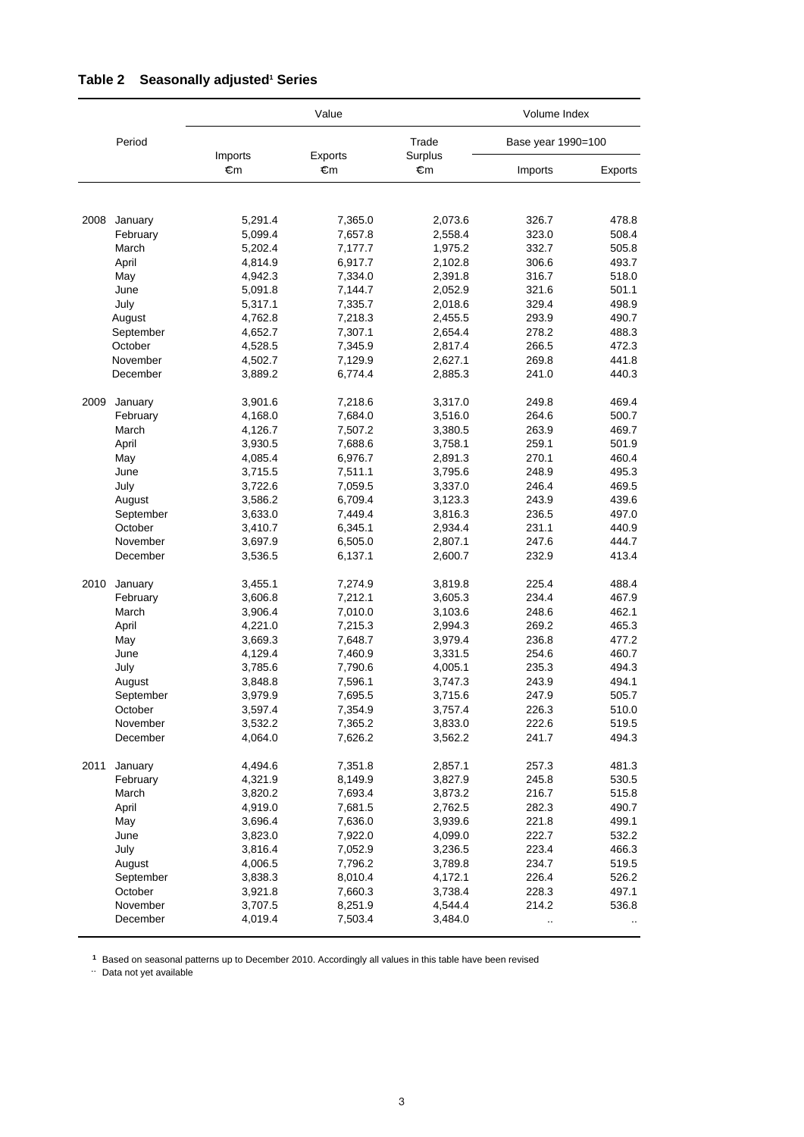|      |                     |               | Value         |               | Volume Index       |           |
|------|---------------------|---------------|---------------|---------------|--------------------|-----------|
|      | Period              |               |               | Trade         | Base year 1990=100 |           |
|      |                     | Imports<br>€m | Exports<br>€m | Surplus<br>€m | Imports            | Exports   |
|      |                     |               |               |               |                    |           |
| 2008 | January             | 5,291.4       | 7,365.0       | 2,073.6       | 326.7              | 478.8     |
|      | February            | 5,099.4       | 7,657.8       | 2,558.4       | 323.0              | 508.4     |
|      | March               | 5,202.4       | 7,177.7       | 1,975.2       | 332.7              | 505.8     |
|      | April               | 4,814.9       | 6,917.7       | 2,102.8       | 306.6              | 493.7     |
|      | May                 | 4,942.3       | 7,334.0       | 2,391.8       | 316.7              | 518.0     |
|      | June                | 5,091.8       | 7,144.7       | 2,052.9       | 321.6              | 501.1     |
|      | July                | 5,317.1       | 7,335.7       | 2,018.6       | 329.4              | 498.9     |
|      | August              | 4,762.8       | 7,218.3       | 2,455.5       | 293.9              | 490.7     |
|      | September           | 4,652.7       | 7,307.1       | 2,654.4       | 278.2              | 488.3     |
|      | October             | 4,528.5       | 7,345.9       | 2,817.4       | 266.5              | 472.3     |
|      | November            | 4,502.7       | 7,129.9       | 2,627.1       | 269.8              | 441.8     |
|      | December            | 3,889.2       | 6,774.4       | 2,885.3       | 241.0              | 440.3     |
| 2009 | January             | 3,901.6       | 7,218.6       | 3,317.0       | 249.8              | 469.4     |
|      | February            | 4,168.0       | 7,684.0       | 3,516.0       | 264.6              | 500.7     |
|      | March               | 4,126.7       | 7,507.2       | 3,380.5       | 263.9              | 469.7     |
|      | April               | 3,930.5       | 7,688.6       | 3,758.1       | 259.1              | 501.9     |
|      | May                 | 4,085.4       | 6,976.7       | 2,891.3       | 270.1              | 460.4     |
|      | June                | 3,715.5       | 7,511.1       | 3,795.6       | 248.9              | 495.3     |
|      | July                | 3,722.6       | 7,059.5       | 3,337.0       | 246.4              | 469.5     |
|      | August              | 3,586.2       | 6,709.4       | 3,123.3       | 243.9              | 439.6     |
|      | September           | 3,633.0       | 7,449.4       | 3,816.3       | 236.5              | 497.0     |
|      | October             | 3,410.7       | 6,345.1       | 2,934.4       | 231.1              | 440.9     |
|      | November            | 3,697.9       | 6,505.0       | 2,807.1       | 247.6              | 444.7     |
|      | December            | 3,536.5       | 6,137.1       | 2,600.7       | 232.9              | 413.4     |
| 2010 | January             | 3,455.1       | 7,274.9       | 3,819.8       | 225.4              | 488.4     |
|      | February            | 3,606.8       | 7,212.1       | 3,605.3       | 234.4              | 467.9     |
|      | March               | 3,906.4       | 7,010.0       | 3,103.6       | 248.6              | 462.1     |
|      | April               | 4,221.0       | 7,215.3       | 2,994.3       | 269.2              | 465.3     |
|      | May                 | 3,669.3       | 7,648.7       | 3,979.4       | 236.8              | 477.2     |
|      | June                | 4,129.4       | 7,460.9       | 3,331.5       | 254.6              | 460.7     |
|      | July                | 3,785.6       | 7,790.6       | 4,005.1       | 235.3              | 494.3     |
|      | August              | 3,848.8       | 7,596.1       | 3,747.3       | 243.9              | 494.1     |
|      | September           | 3,979.9       | 7,695.5       | 3,715.6       | 247.9              | 505.7     |
|      | October             | 3,597.4       | 7,354.9       | 3,757.4       | 226.3              | 510.0     |
|      | November            | 3,532.2       | 7,365.2       | 3,833.0       | 222.6              | 519.5     |
|      | December            | 4,064.0       | 7,626.2       | 3,562.2       | 241.7              | 494.3     |
| 2011 | January             | 4,494.6       | 7,351.8       | 2,857.1       | 257.3              | 481.3     |
|      | February            | 4,321.9       | 8,149.9       | 3,827.9       | 245.8              | 530.5     |
|      | March               | 3,820.2       | 7,693.4       | 3,873.2       | 216.7              | 515.8     |
|      | April               | 4,919.0       | 7,681.5       | 2,762.5       | 282.3              | 490.7     |
|      | May                 | 3,696.4       | 7,636.0       | 3,939.6       | 221.8              | 499.1     |
|      | June                | 3,823.0       | 7,922.0       | 4,099.0       | 222.7              | 532.2     |
|      | July                | 3,816.4       | 7,052.9       | 3,236.5       | 223.4              | 466.3     |
|      | August              | 4,006.5       | 7,796.2       | 3,789.8       | 234.7              | 519.5     |
|      | September           | 3,838.3       | 8,010.4       | 4,172.1       | 226.4              | 526.2     |
|      | October<br>November | 3,921.8       | 7,660.3       | 3,738.4       | 228.3              | 497.1     |
|      | December            | 3,707.5       | 8,251.9       | 4,544.4       | 214.2              | 536.8     |
|      |                     | 4,019.4       | 7,503.4       | 3,484.0       | $\ddotsc$          | $\cdot$ . |

#### Table 2 Seasonally adjusted<sup>1</sup> Series

1 Based on seasonal patterns up to December 2010. Accordingly all values in this table have been revised .. Data not yet available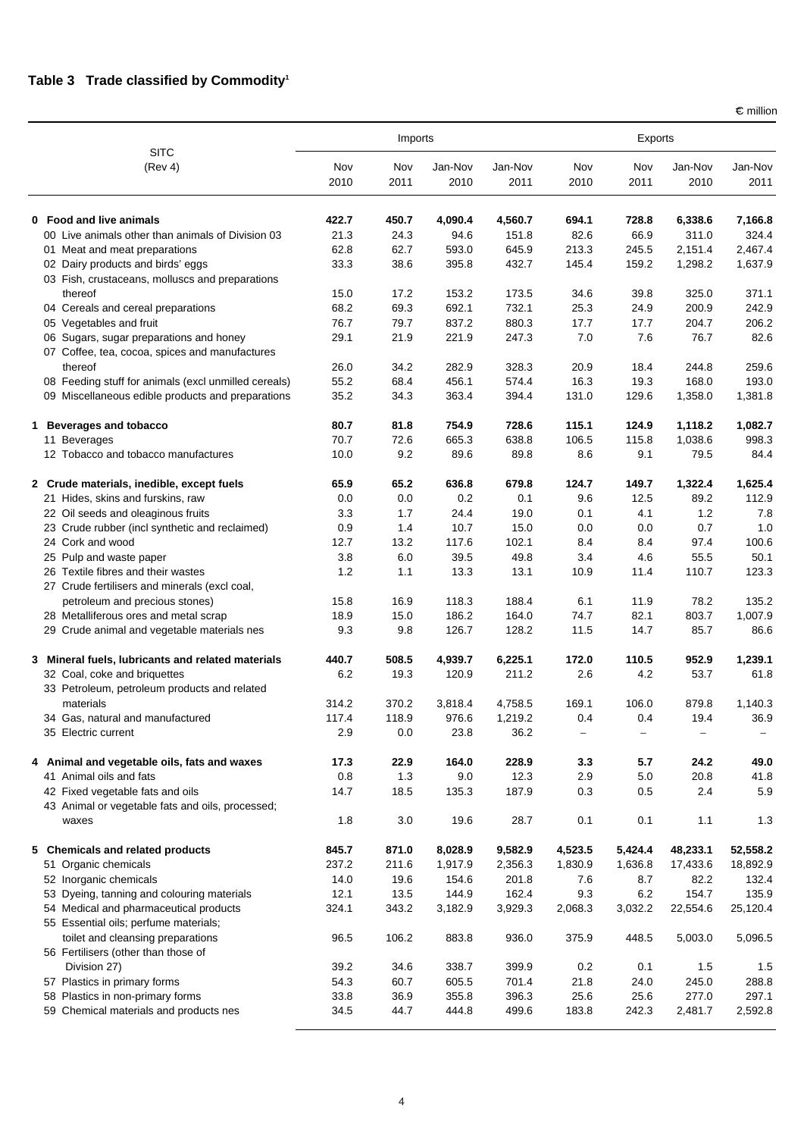$\epsilon$  million

|                                                      |             | Imports     |                 |                 | Exports     |             |                 |                 |
|------------------------------------------------------|-------------|-------------|-----------------|-----------------|-------------|-------------|-----------------|-----------------|
| <b>SITC</b><br>(Rev 4)                               | Nov<br>2010 | Nov<br>2011 | Jan-Nov<br>2010 | Jan-Nov<br>2011 | Nov<br>2010 | Nov<br>2011 | Jan-Nov<br>2010 | Jan-Nov<br>2011 |
| 0 Food and live animals                              | 422.7       | 450.7       | 4,090.4         | 4,560.7         | 694.1       | 728.8       | 6,338.6         | 7,166.8         |
| 00 Live animals other than animals of Division 03    | 21.3        | 24.3        | 94.6            | 151.8           | 82.6        | 66.9        | 311.0           | 324.4           |
| 01 Meat and meat preparations                        | 62.8        | 62.7        | 593.0           | 645.9           | 213.3       | 245.5       | 2,151.4         | 2,467.4         |
| 02 Dairy products and birds' eggs                    | 33.3        | 38.6        | 395.8           | 432.7           | 145.4       | 159.2       | 1,298.2         | 1,637.9         |
| 03 Fish, crustaceans, molluscs and preparations      |             |             |                 |                 |             |             |                 |                 |
| thereof                                              | 15.0        | 17.2        | 153.2           | 173.5           | 34.6        | 39.8        | 325.0           | 371.1           |
| 04 Cereals and cereal preparations                   | 68.2        | 69.3        | 692.1           | 732.1           | 25.3        | 24.9        | 200.9           | 242.9           |
| 05 Vegetables and fruit                              | 76.7        | 79.7        | 837.2           | 880.3           | 17.7        | 17.7        | 204.7           | 206.2           |
| 06 Sugars, sugar preparations and honey              | 29.1        | 21.9        | 221.9           | 247.3           | 7.0         | 7.6         | 76.7            | 82.6            |
| 07 Coffee, tea, cocoa, spices and manufactures       |             |             |                 |                 |             |             |                 |                 |
| thereof                                              | 26.0        | 34.2        | 282.9           | 328.3           | 20.9        | 18.4        | 244.8           | 259.6           |
| 08 Feeding stuff for animals (excl unmilled cereals) | 55.2        | 68.4        | 456.1           | 574.4           | 16.3        | 19.3        | 168.0           | 193.0           |
| 09 Miscellaneous edible products and preparations    | 35.2        | 34.3        | 363.4           | 394.4           | 131.0       | 129.6       | 1,358.0         | 1,381.8         |
| 1 Beverages and tobacco                              | 80.7        | 81.8        | 754.9           | 728.6           | 115.1       | 124.9       | 1,118.2         | 1,082.7         |
| 11 Beverages                                         | 70.7        | 72.6        | 665.3           | 638.8           | 106.5       | 115.8       | 1,038.6         | 998.3           |
| 12 Tobacco and tobacco manufactures                  | 10.0        | 9.2         | 89.6            | 89.8            | 8.6         | 9.1         | 79.5            | 84.4            |
| 2 Crude materials, inedible, except fuels            | 65.9        | 65.2        | 636.8           | 679.8           | 124.7       | 149.7       | 1,322.4         | 1,625.4         |
| 21 Hides, skins and furskins, raw                    | 0.0         | 0.0         | 0.2             | 0.1             | 9.6         | 12.5        | 89.2            | 112.9           |
| 22 Oil seeds and oleaginous fruits                   | 3.3         | 1.7         | 24.4            | 19.0            | 0.1         | 4.1         | 1.2             | 7.8             |
| 23 Crude rubber (incl synthetic and reclaimed)       | 0.9         | 1.4         | 10.7            | 15.0            | 0.0         | 0.0         | 0.7             | 1.0             |
| 24 Cork and wood                                     | 12.7        | 13.2        | 117.6           | 102.1           | 8.4         | 8.4         | 97.4            | 100.6           |
| 25 Pulp and waste paper                              | 3.8         | 6.0         | 39.5            | 49.8            | 3.4         | 4.6         | 55.5            | 50.1            |
| 26 Textile fibres and their wastes                   | 1.2         | 1.1         | 13.3            | 13.1            | 10.9        | 11.4        | 110.7           | 123.3           |
| 27 Crude fertilisers and minerals (excl coal,        |             |             |                 |                 |             |             |                 |                 |
| petroleum and precious stones)                       | 15.8        | 16.9        | 118.3           | 188.4           | 6.1         | 11.9        | 78.2            | 135.2           |
| 28 Metalliferous ores and metal scrap                | 18.9        | 15.0        | 186.2           | 164.0           | 74.7        | 82.1        | 803.7           | 1,007.9         |
| 29 Crude animal and vegetable materials nes          | 9.3         | 9.8         | 126.7           | 128.2           | 11.5        | 14.7        | 85.7            | 86.6            |
| 3 Mineral fuels, lubricants and related materials    | 440.7       | 508.5       | 4,939.7         | 6,225.1         | 172.0       | 110.5       | 952.9           | 1,239.1         |
| 32 Coal, coke and briquettes                         | 6.2         | 19.3        | 120.9           | 211.2           | 2.6         | 4.2         | 53.7            | 61.8            |
| 33 Petroleum, petroleum products and related         |             |             |                 |                 |             |             |                 |                 |
| materials                                            | 314.2       | 370.2       | 3,818.4         | 4,758.5         | 169.1       | 106.0       | 879.8           | 1,140.3         |
| 34 Gas, natural and manufactured                     | 117.4       | 118.9       | 976.6           | 1,219.2         | 0.4         | 0.4         | 19.4            | 36.9            |
| 35 Electric current                                  | 2.9         | 0.0         | 23.8            | 36.2            |             |             |                 |                 |
| 4 Animal and vegetable oils, fats and waxes          | 17.3        | 22.9        | 164.0           | 228.9           | 3.3         | 5.7         | 24.2            | 49.0            |
| 41 Animal oils and fats                              | 0.8         | $1.3$       | $9.0\,$         | 12.3            | 2.9         | 5.0         | 20.8            | 41.8            |
| 42 Fixed vegetable fats and oils                     | 14.7        | 18.5        | 135.3           | 187.9           | 0.3         | 0.5         | 2.4             | 5.9             |
| 43 Animal or vegetable fats and oils, processed;     |             |             |                 |                 |             |             |                 |                 |
| waxes                                                | 1.8         | 3.0         | 19.6            | 28.7            | 0.1         | 0.1         | 1.1             | 1.3             |
| 5 Chemicals and related products                     | 845.7       | 871.0       | 8,028.9         | 9,582.9         | 4,523.5     | 5,424.4     | 48,233.1        | 52,558.2        |
| 51 Organic chemicals                                 | 237.2       | 211.6       | 1,917.9         | 2,356.3         | 1,830.9     | 1,636.8     | 17,433.6        | 18,892.9        |
| 52 Inorganic chemicals                               | 14.0        | 19.6        | 154.6           | 201.8           | 7.6         | 8.7         | 82.2            | 132.4           |
| 53 Dyeing, tanning and colouring materials           | 12.1        | 13.5        | 144.9           | 162.4           | 9.3         | 6.2         | 154.7           | 135.9           |
| 54 Medical and pharmaceutical products               | 324.1       | 343.2       | 3,182.9         | 3,929.3         | 2,068.3     | 3,032.2     | 22,554.6        | 25,120.4        |
| 55 Essential oils; perfume materials;                |             |             |                 |                 |             |             |                 |                 |
| toilet and cleansing preparations                    | 96.5        | 106.2       | 883.8           | 936.0           | 375.9       | 448.5       | 5,003.0         | 5,096.5         |
| 56 Fertilisers (other than those of                  |             |             |                 |                 |             |             |                 |                 |
| Division 27)                                         | 39.2        | 34.6        | 338.7           | 399.9           | 0.2         | 0.1         | 1.5             | 1.5             |
| 57 Plastics in primary forms                         | 54.3        | 60.7        | 605.5           | 701.4           | 21.8        | 24.0        | 245.0           | 288.8           |
| 58 Plastics in non-primary forms                     | 33.8        | 36.9        | 355.8           | 396.3           | 25.6        | 25.6        | 277.0           | 297.1           |
| 59 Chemical materials and products nes               | 34.5        | 44.7        | 444.8           | 499.6           | 183.8       | 242.3       | 2,481.7         | 2,592.8         |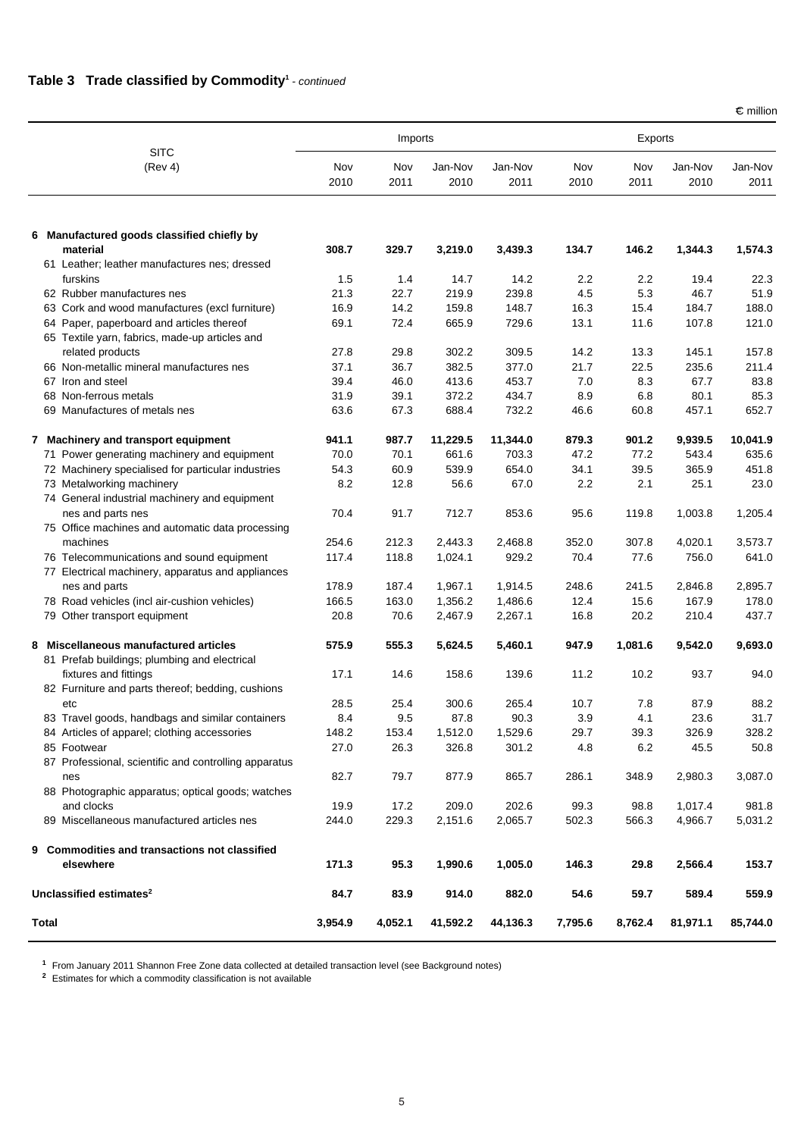#### **Table 3 Trade classified by Commodity**<sup>1</sup> - continued

 $\epsilon$  million

|                                                                       |             | Imports     |                 |                 | Exports     |                  |                 |                 |
|-----------------------------------------------------------------------|-------------|-------------|-----------------|-----------------|-------------|------------------|-----------------|-----------------|
| <b>SITC</b><br>(Rev 4)                                                | Nov<br>2010 | Nov<br>2011 | Jan-Nov<br>2010 | Jan-Nov<br>2011 | Nov<br>2010 | Nov<br>2011      | Jan-Nov<br>2010 | Jan-Nov<br>2011 |
| 6 Manufactured goods classified chiefly by                            |             |             |                 |                 |             |                  |                 |                 |
| material<br>61 Leather; leather manufactures nes; dressed             | 308.7       | 329.7       | 3,219.0         | 3,439.3         | 134.7       | 146.2            | 1,344.3         | 1,574.3         |
| furskins                                                              | 1.5         | 1.4         | 14.7            | 14.2            | 2.2         | $2.2\phantom{0}$ | 19.4            | 22.3            |
| 62 Rubber manufactures nes                                            | 21.3        | 22.7        | 219.9           | 239.8           | 4.5         | 5.3              | 46.7            | 51.9            |
| 63 Cork and wood manufactures (excl furniture)                        | 16.9        | 14.2        | 159.8           | 148.7           | 16.3        | 15.4             | 184.7           | 188.0           |
| 64 Paper, paperboard and articles thereof                             | 69.1        | 72.4        | 665.9           | 729.6           | 13.1        | 11.6             | 107.8           | 121.0           |
| 65 Textile yarn, fabrics, made-up articles and                        |             |             |                 |                 |             |                  |                 |                 |
| related products                                                      | 27.8        | 29.8        | 302.2           | 309.5           | 14.2        | 13.3             | 145.1           | 157.8           |
| 66 Non-metallic mineral manufactures nes                              | 37.1        | 36.7        | 382.5           | 377.0           | 21.7        | 22.5             | 235.6           | 211.4           |
| 67 Iron and steel                                                     | 39.4        | 46.0        | 413.6           | 453.7           | 7.0         | 8.3              | 67.7            | 83.8            |
| 68 Non-ferrous metals                                                 | 31.9        | 39.1        | 372.2           | 434.7           | 8.9         | 6.8              | 80.1            | 85.3            |
| 69 Manufactures of metals nes                                         | 63.6        | 67.3        | 688.4           | 732.2           | 46.6        | 60.8             | 457.1           | 652.7           |
| 7 Machinery and transport equipment                                   | 941.1       | 987.7       | 11,229.5        | 11,344.0        | 879.3       | 901.2            | 9,939.5         | 10,041.9        |
| 71 Power generating machinery and equipment                           | 70.0        | 70.1        | 661.6           | 703.3           | 47.2        | 77.2             | 543.4           | 635.6           |
| 72 Machinery specialised for particular industries                    | 54.3        | 60.9        | 539.9           | 654.0           | 34.1        | 39.5             | 365.9           | 451.8           |
| 73 Metalworking machinery                                             | 8.2         | 12.8        | 56.6            | 67.0            | 2.2         | 2.1              | 25.1            | 23.0            |
| 74 General industrial machinery and equipment                         |             |             |                 |                 |             |                  |                 |                 |
| nes and parts nes                                                     | 70.4        | 91.7        | 712.7           | 853.6           | 95.6        | 119.8            | 1,003.8         | 1,205.4         |
| 75 Office machines and automatic data processing                      |             |             |                 |                 |             |                  |                 |                 |
| machines                                                              | 254.6       | 212.3       | 2,443.3         | 2,468.8         | 352.0       | 307.8            | 4,020.1         | 3,573.7         |
| 76 Telecommunications and sound equipment                             | 117.4       | 118.8       | 1,024.1         | 929.2           | 70.4        | 77.6             | 756.0           | 641.0           |
| 77 Electrical machinery, apparatus and appliances                     |             |             |                 |                 |             |                  |                 |                 |
| nes and parts                                                         | 178.9       | 187.4       | 1,967.1         | 1,914.5         | 248.6       | 241.5            | 2,846.8         | 2,895.7         |
| 78 Road vehicles (incl air-cushion vehicles)                          | 166.5       | 163.0       | 1,356.2         | 1,486.6         | 12.4        | 15.6             | 167.9           | 178.0           |
| 79 Other transport equipment                                          | 20.8        | 70.6        | 2,467.9         | 2,267.1         | 16.8        | 20.2             | 210.4           | 437.7           |
| 8 Miscellaneous manufactured articles                                 | 575.9       | 555.3       | 5,624.5         | 5,460.1         | 947.9       | 1,081.6          | 9,542.0         | 9,693.0         |
| 81 Prefab buildings; plumbing and electrical<br>fixtures and fittings |             |             |                 |                 |             |                  |                 |                 |
| 82 Furniture and parts thereof; bedding, cushions                     | 17.1        | 14.6        | 158.6           | 139.6           | 11.2        | 10.2             | 93.7            | 94.0            |
| etc                                                                   | 28.5        | 25.4        | 300.6           | 265.4           | 10.7        | 7.8              | 87.9            | 88.2            |
| 83 Travel goods, handbags and similar containers                      | 8.4         | 9.5         | 87.8            | 90.3            | 3.9         | 4.1              | 23.6            | 31.7            |
| 84 Articles of apparel; clothing accessories                          | 148.2       | 153.4       | 1,512.0         | 1,529.6         | 29.7        | 39.3             | 326.9           | 328.2           |
| 85 Footwear                                                           | 27.0        | 26.3        | 326.8           | 301.2           | 4.8         | 6.2              | 45.5            | 50.8            |
| 87 Professional, scientific and controlling apparatus                 |             |             |                 |                 |             |                  |                 |                 |
| nes                                                                   | 82.7        | 79.7        | 877.9           | 865.7           | 286.1       | 348.9            | 2,980.3         | 3,087.0         |
| 88 Photographic apparatus; optical goods; watches                     |             |             |                 |                 |             |                  |                 |                 |
| and clocks                                                            | 19.9        | 17.2        | 209.0           | 202.6           | 99.3        | 98.8             | 1,017.4         | 981.8           |
| 89 Miscellaneous manufactured articles nes                            | 244.0       | 229.3       | 2,151.6         | 2,065.7         | 502.3       | 566.3            | 4,966.7         | 5,031.2         |
| 9 Commodities and transactions not classified                         |             |             |                 |                 |             |                  |                 |                 |
| elsewhere                                                             | 171.3       | 95.3        | 1,990.6         | 1,005.0         | 146.3       | 29.8             | 2,566.4         | 153.7           |
| Unclassified estimates <sup>2</sup>                                   | 84.7        | 83.9        | 914.0           | 882.0           | 54.6        | 59.7             | 589.4           | 559.9           |
| <b>Total</b>                                                          | 3,954.9     | 4,052.1     | 41,592.2        | 44,136.3        | 7,795.6     | 8,762.4          | 81,971.1        | 85,744.0        |

**<sup>1</sup>** From January 2011 Shannon Free Zone data collected at detailed transaction level (see Background notes)

**<sup>2</sup>** Estimates for which a commodity classification is not available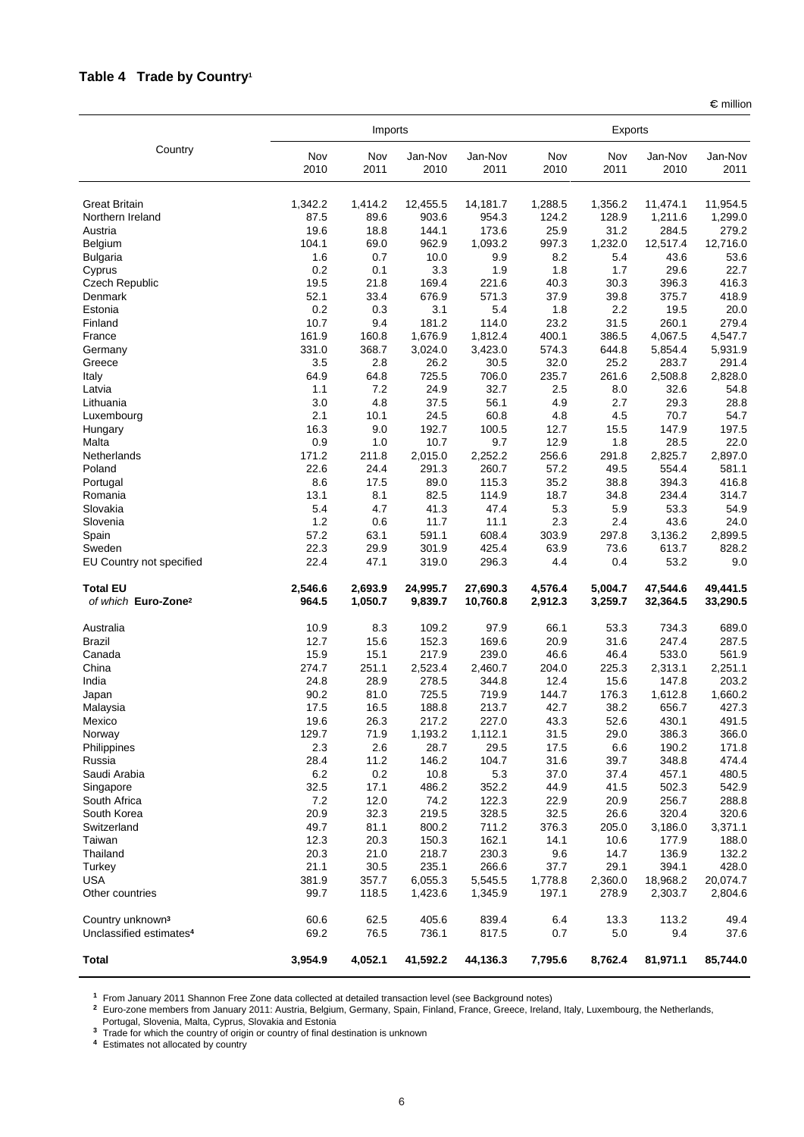## **Table 4 Trade by Country1**

 $\epsilon$  million

|                                                    |                  | Imports            |                     |                      |                    |                    |                      |                      |
|----------------------------------------------------|------------------|--------------------|---------------------|----------------------|--------------------|--------------------|----------------------|----------------------|
| Country                                            | Nov<br>2010      | Nov<br>2011        | Jan-Nov<br>2010     | Jan-Nov<br>2011      | Nov<br>2010        | Nov<br>2011        | Jan-Nov<br>2010      | Jan-Nov<br>2011      |
| <b>Great Britain</b>                               | 1,342.2          | 1,414.2            | 12,455.5            | 14,181.7             | 1,288.5            | 1,356.2            | 11,474.1             | 11,954.5             |
| Northern Ireland                                   | 87.5             | 89.6               | 903.6               | 954.3                | 124.2              | 128.9              | 1,211.6              | 1,299.0              |
| Austria                                            | 19.6             | 18.8               | 144.1               | 173.6                | 25.9               | 31.2               | 284.5                | 279.2                |
| Belgium                                            | 104.1            | 69.0               | 962.9               | 1,093.2              | 997.3              | 1,232.0            | 12,517.4             | 12,716.0             |
| <b>Bulgaria</b>                                    | 1.6              | 0.7                | 10.0                | 9.9                  | 8.2                | 5.4                | 43.6                 | 53.6                 |
| Cyprus                                             | 0.2              | 0.1                | 3.3                 | 1.9                  | 1.8                | 1.7                | 29.6                 | 22.7                 |
| <b>Czech Republic</b>                              | 19.5             | 21.8               | 169.4               | 221.6                | 40.3               | 30.3               | 396.3                | 416.3                |
| Denmark                                            | 52.1             | 33.4               | 676.9               | 571.3                | 37.9               | 39.8               | 375.7                | 418.9                |
| Estonia                                            | 0.2              | 0.3                | 3.1                 | 5.4                  | 1.8                | 2.2                | 19.5                 | 20.0                 |
| Finland                                            | 10.7             | 9.4                | 181.2               | 114.0                | 23.2               | 31.5               | 260.1                | 279.4                |
| France<br>Germany                                  | 161.9<br>331.0   | 160.8<br>368.7     | 1,676.9<br>3,024.0  | 1,812.4<br>3,423.0   | 400.1<br>574.3     | 386.5<br>644.8     | 4,067.5<br>5,854.4   | 4,547.7<br>5,931.9   |
| Greece                                             | 3.5              | 2.8                | 26.2                | 30.5                 | 32.0               | 25.2               | 283.7                | 291.4                |
| Italy                                              | 64.9             | 64.8               | 725.5               | 706.0                | 235.7              | 261.6              | 2,508.8              | 2,828.0              |
| Latvia                                             | 1.1              | 7.2                | 24.9                | 32.7                 | 2.5                | 8.0                | 32.6                 | 54.8                 |
| Lithuania                                          | 3.0              | 4.8                | 37.5                | 56.1                 | 4.9                | 2.7                | 29.3                 | 28.8                 |
| Luxembourg                                         | 2.1              | 10.1               | 24.5                | 60.8                 | 4.8                | 4.5                | 70.7                 | 54.7                 |
| Hungary                                            | 16.3             | 9.0                | 192.7               | 100.5                | 12.7               | 15.5               | 147.9                | 197.5                |
| Malta                                              | 0.9              | 1.0                | 10.7                | 9.7                  | 12.9               | 1.8                | 28.5                 | 22.0                 |
| Netherlands                                        | 171.2            | 211.8              | 2,015.0             | 2,252.2              | 256.6              | 291.8              | 2,825.7              | 2,897.0              |
| Poland                                             | 22.6             | 24.4               | 291.3               | 260.7                | 57.2               | 49.5               | 554.4                | 581.1                |
| Portugal                                           | 8.6              | 17.5               | 89.0                | 115.3                | 35.2               | 38.8               | 394.3                | 416.8                |
| Romania                                            | 13.1             | 8.1                | 82.5                | 114.9                | 18.7               | 34.8               | 234.4                | 314.7                |
| Slovakia                                           | 5.4              | 4.7                | 41.3                | 47.4                 | 5.3                | 5.9                | 53.3                 | 54.9                 |
| Slovenia                                           | 1.2<br>57.2      | 0.6<br>63.1        | 11.7<br>591.1       | 11.1<br>608.4        | 2.3<br>303.9       | 2.4<br>297.8       | 43.6<br>3,136.2      | 24.0<br>2,899.5      |
| Spain<br>Sweden                                    | 22.3             | 29.9               | 301.9               | 425.4                | 63.9               | 73.6               | 613.7                | 828.2                |
| EU Country not specified                           | 22.4             | 47.1               | 319.0               | 296.3                | 4.4                | 0.4                | 53.2                 | 9.0                  |
|                                                    |                  |                    |                     |                      |                    |                    |                      |                      |
| <b>Total EU</b><br>of which Euro-Zone <sup>2</sup> | 2,546.6<br>964.5 | 2,693.9<br>1,050.7 | 24,995.7<br>9,839.7 | 27,690.3<br>10,760.8 | 4,576.4<br>2,912.3 | 5,004.7<br>3,259.7 | 47,544.6<br>32,364.5 | 49,441.5<br>33,290.5 |
| Australia                                          | 10.9             | 8.3                | 109.2               | 97.9                 | 66.1               | 53.3               | 734.3                | 689.0                |
| <b>Brazil</b>                                      | 12.7             | 15.6               | 152.3               | 169.6                | 20.9               | 31.6               | 247.4                | 287.5                |
| Canada                                             | 15.9             | 15.1               | 217.9               | 239.0                | 46.6               | 46.4               | 533.0                | 561.9                |
| China                                              | 274.7            | 251.1              | 2,523.4             | 2,460.7              | 204.0              | 225.3              | 2,313.1              | 2,251.1              |
| India                                              | 24.8             | 28.9               | 278.5               | 344.8                | 12.4               | 15.6               | 147.8                | 203.2                |
| Japan                                              | 90.2             | 81.0               | 725.5               | 719.9                | 144.7              | 176.3              | 1,612.8              | 1,660.2              |
| Malaysia                                           | 17.5             | 16.5               | 188.8               | 213.7                | 42.7               | 38.2               | 656.7                | 427.3                |
| Mexico                                             | 19.6             | 26.3               | 217.2               | 227.0                | 43.3               | 52.6               | 430.1                | 491.5                |
| Norway                                             | 129.7            | 71.9               | 1,193.2             | 1,112.1              | 31.5               | 29.0               | 386.3                | 366.0                |
| Philippines                                        | 2.3              | 2.6                | 28.7                | 29.5                 | 17.5               | 6.6                | 190.2                | 171.8                |
| Russia                                             | 28.4             | 11.2               | 146.2               | 104.7                | 31.6               | 39.7               | 348.8                | 474.4                |
| Saudi Arabia                                       | 6.2<br>32.5      | 0.2<br>17.1        | 10.8<br>486.2       | 5.3<br>352.2         | 37.0<br>44.9       | 37.4<br>41.5       | 457.1<br>502.3       | 480.5<br>542.9       |
| Singapore<br>South Africa                          | 7.2              | 12.0               | 74.2                | 122.3                | 22.9               | 20.9               | 256.7                | 288.8                |
| South Korea                                        | 20.9             | 32.3               | 219.5               | 328.5                | 32.5               | 26.6               | 320.4                | 320.6                |
| Switzerland                                        | 49.7             | 81.1               | 800.2               | 711.2                | 376.3              | 205.0              | 3,186.0              | 3,371.1              |
| Taiwan                                             | 12.3             | 20.3               | 150.3               | 162.1                | 14.1               | 10.6               | 177.9                | 188.0                |
| Thailand                                           | 20.3             | 21.0               | 218.7               | 230.3                | 9.6                | 14.7               | 136.9                | 132.2                |
| Turkey                                             | 21.1             | 30.5               | 235.1               | 266.6                | 37.7               | 29.1               | 394.1                | 428.0                |
| <b>USA</b>                                         | 381.9            | 357.7              | 6,055.3             | 5,545.5              | 1,778.8            | 2,360.0            | 18,968.2             | 20,074.7             |
| Other countries                                    | 99.7             | 118.5              | 1,423.6             | 1,345.9              | 197.1              | 278.9              | 2,303.7              | 2,804.6              |
| Country unknown <sup>3</sup>                       | 60.6             | 62.5               | 405.6               | 839.4                | 6.4                | 13.3               | 113.2                | 49.4                 |
| Unclassified estimates <sup>4</sup>                | 69.2             | 76.5               | 736.1               | 817.5                | 0.7                | 5.0                | 9.4                  | 37.6                 |
| <b>Total</b>                                       | 3,954.9          | 4,052.1            | 41,592.2            | 44,136.3             | 7,795.6            | 8,762.4            | 81,971.1             | 85,744.0             |

**<sup>1</sup>** From January 2011 Shannon Free Zone data collected at detailed transaction level (see Background notes)

**<sup>2</sup>** Euro-zone members from January 2011: Austria, Belgium, Germany, Spain, Finland, France, Greece, Ireland, Italy, Luxembourg, the Netherlands,

Portugal, Slovenia, Malta, Cyprus, Slovakia and Estonia **<sup>3</sup>** Trade for which the country of origin or country of final destination is unknown

**<sup>4</sup>** Estimates not allocated by country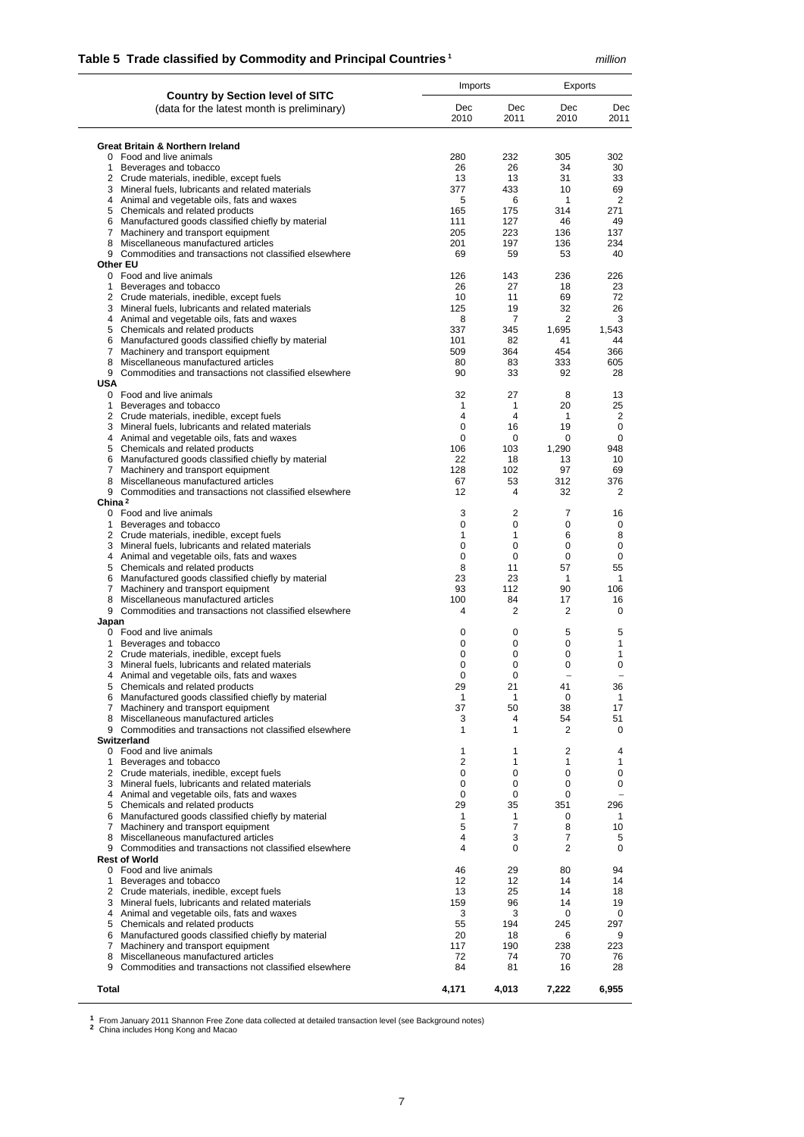### **Table 5 Trade classified by Commodity and Principal Countries 1** *million*

|                                                                                                     | Imports        |                   | Exports             |              |  |
|-----------------------------------------------------------------------------------------------------|----------------|-------------------|---------------------|--------------|--|
| <b>Country by Section level of SITC</b><br>(data for the latest month is preliminary)               | Dec<br>2010    | Dec<br>2011       | Dec<br>2010         | Dec<br>2011  |  |
| <b>Great Britain &amp; Northern Ireland</b>                                                         |                |                   |                     |              |  |
| 0 Food and live animals                                                                             | 280            | 232               | 305                 | 302          |  |
| 1 Beverages and tobacco                                                                             | 26             | 26                | 34                  | 30           |  |
| 2 Crude materials, inedible, except fuels<br>3 Mineral fuels, lubricants and related materials      | 13<br>377      | 13<br>433         | 31<br>10            | 33<br>69     |  |
| 4 Animal and vegetable oils, fats and waxes                                                         | 5              | 6                 | $\mathbf{1}$        | 2            |  |
| 5 Chemicals and related products                                                                    | 165            | 175               | 314                 | 271          |  |
| 6 Manufactured goods classified chiefly by material                                                 | 111            | 127               | 46                  | 49           |  |
| 7 Machinery and transport equipment<br>8 Miscellaneous manufactured articles                        | 205<br>201     | 223<br>197        | 136<br>136          | 137<br>234   |  |
| 9 Commodities and transactions not classified elsewhere                                             | 69             | 59                | 53                  | 40           |  |
| Other EU                                                                                            |                |                   |                     |              |  |
| 0 Food and live animals                                                                             | 126            | 143               | 236                 | 226          |  |
| 1 Beverages and tobacco<br>2 Crude materials, inedible, except fuels                                | 26<br>10       | 27<br>11          | 18<br>69            | 23<br>72     |  |
| 3 Mineral fuels, lubricants and related materials                                                   | 125            | 19                | 32                  | 26           |  |
| 4 Animal and vegetable oils, fats and waxes                                                         | 8              | 7                 | 2                   | 3            |  |
| 5 Chemicals and related products                                                                    | 337            | 345               | 1,695               | 1,543        |  |
| 6 Manufactured goods classified chiefly by material                                                 | 101            | 82                | 41                  | 44           |  |
| 7 Machinery and transport equipment<br>8 Miscellaneous manufactured articles                        | 509            | 364               | 454<br>333          | 366          |  |
| 9 Commodities and transactions not classified elsewhere                                             | 80<br>90       | 83<br>33          | 92                  | 605<br>28    |  |
| <b>USA</b>                                                                                          |                |                   |                     |              |  |
| 0 Food and live animals                                                                             | 32             | 27                | 8                   | 13           |  |
| 1 Beverages and tobacco                                                                             | 1              | 1                 | 20                  | 25           |  |
| 2 Crude materials, inedible, except fuels<br>3 Mineral fuels, lubricants and related materials      | 4<br>0         | 4<br>16           | 1<br>19             | 2<br>0       |  |
| 4 Animal and vegetable oils, fats and waxes                                                         | 0              | 0                 | 0                   | 0            |  |
| 5 Chemicals and related products                                                                    | 106            | 103               | 1,290               | 948          |  |
| 6 Manufactured goods classified chiefly by material                                                 | 22             | 18                | 13                  | 10           |  |
| 7 Machinery and transport equipment                                                                 | 128            | 102               | 97                  | 69           |  |
| Miscellaneous manufactured articles<br>8<br>9 Commodities and transactions not classified elsewhere | 67<br>12       | 53<br>4           | 312<br>32           | 376<br>2     |  |
| China <sup>2</sup>                                                                                  |                |                   |                     |              |  |
| 0 Food and live animals                                                                             | 3              | 2                 | 7                   | 16           |  |
| 1 Beverages and tobacco                                                                             | 0              | 0                 | 0                   | 0            |  |
| 2 Crude materials, inedible, except fuels<br>3 Mineral fuels, lubricants and related materials      | 1<br>0         | 1<br>0            | 6<br>0              | 8<br>0       |  |
| 4 Animal and vegetable oils, fats and waxes                                                         | 0              | 0                 | 0                   | 0            |  |
| 5 Chemicals and related products                                                                    | 8              | 11                | 57                  | 55           |  |
| 6 Manufactured goods classified chiefly by material                                                 | 23             | 23                | 1                   | 1            |  |
| 7 Machinery and transport equipment                                                                 | 93             | 112               | 90                  | 106          |  |
| 8 Miscellaneous manufactured articles<br>9 Commodities and transactions not classified elsewhere    | 100<br>4       | 84<br>2           | 17<br>2             | 16<br>0      |  |
| Japan                                                                                               |                |                   |                     |              |  |
| 0 Food and live animals                                                                             | 0              | 0                 | 5                   | 5            |  |
| 1 Beverages and tobacco                                                                             | 0              | 0                 | 0                   | 1            |  |
| 2 Crude materials, inedible, except fuels<br>3 Mineral fuels, lubricants and related materials      | 0<br>0         | 0<br>0            | 0<br>0              | 1<br>0       |  |
| 4<br>Animal and vegetable oils, fats and waxes                                                      | 0              | 0                 | $\overline{a}$      |              |  |
| 5 Chemicals and related products                                                                    | 29             | 21                | 41                  | 36           |  |
| 6 Manufactured goods classified chiefly by material                                                 | 1              | 1                 | 0                   | $\mathbf{1}$ |  |
| 7 Machinery and transport equipment<br>8 Miscellaneous manufactured articles                        | 37             | 50                | 38                  | 17           |  |
| 9 Commodities and transactions not classified elsewhere                                             | 3<br>1         | 4<br>$\mathbf{1}$ | 54<br>2             | 51<br>0      |  |
| Switzerland                                                                                         |                |                   |                     |              |  |
| 0 Food and live animals                                                                             | $\mathbf{1}$   | 1                 | $\overline{2}$      | 4            |  |
| 1 Beverages and tobacco                                                                             | $\overline{2}$ | 1                 | 1                   | 1            |  |
| 2 Crude materials, inedible, except fuels                                                           | 0              | 0                 | 0                   | 0            |  |
| 3 Mineral fuels, lubricants and related materials<br>4 Animal and vegetable oils, fats and waxes    | 0<br>0         | 0<br>0            | 0<br>0              | 0            |  |
| 5 Chemicals and related products                                                                    | 29             | 35                | 351                 | 296          |  |
| 6 Manufactured goods classified chiefly by material                                                 | 1              | 1                 | 0                   | 1            |  |
| 7 Machinery and transport equipment                                                                 | 5              | $\overline{7}$    | 8                   | 10           |  |
| 8 Miscellaneous manufactured articles<br>9 Commodities and transactions not classified elsewhere    | 4<br>4         | 3<br>0            | 7<br>$\overline{2}$ | 5<br>0       |  |
| <b>Rest of World</b>                                                                                |                |                   |                     |              |  |
| 0 Food and live animals                                                                             | 46             | 29                | 80                  | 94           |  |
| 1 Beverages and tobacco                                                                             | 12             | 12                | 14                  | 14           |  |
| 2 Crude materials, inedible, except fuels                                                           | 13             | 25                | 14                  | 18           |  |
| 3 Mineral fuels, lubricants and related materials<br>4 Animal and vegetable oils, fats and waxes    | 159<br>3       | 96<br>3           | 14<br>0             | 19<br>0      |  |
| 5 Chemicals and related products                                                                    | 55             | 194               | 245                 | 297          |  |
| 6 Manufactured goods classified chiefly by material                                                 | 20             | 18                | 6                   | 9            |  |
| 7 Machinery and transport equipment                                                                 | 117            | 190               | 238                 | 223          |  |
| 8 Miscellaneous manufactured articles                                                               | 72             | 74                | 70                  | 76           |  |
| 9 Commodities and transactions not classified elsewhere                                             | 84             | 81                | 16                  | 28           |  |
| Total                                                                                               | 4,171          | 4,013             | 7,222               | 6,955        |  |
|                                                                                                     |                |                   |                     |              |  |

**<sup>1</sup>** From January 2011 Shannon Free Zone data collected at detailed transaction level (see Background notes)**<sup>2</sup>** China includes Hong Kong and Macao